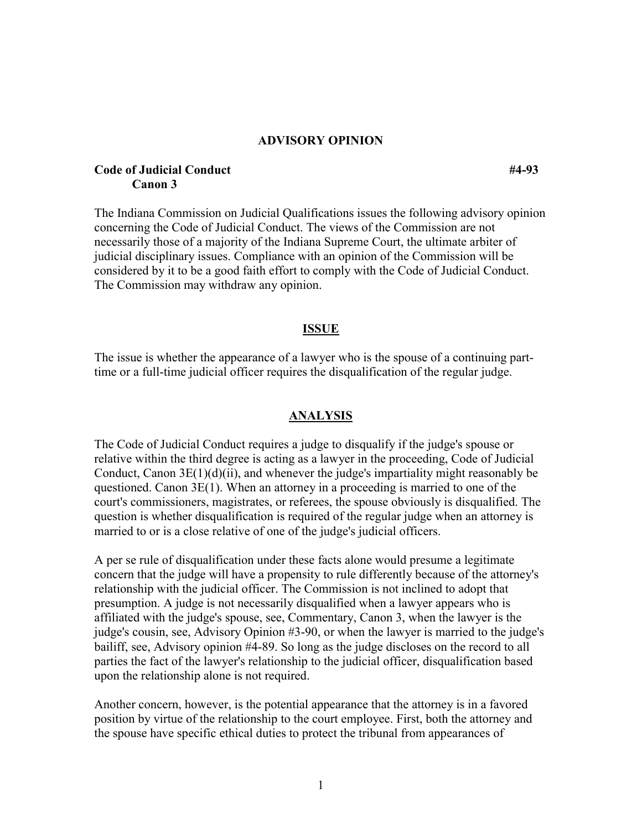### **ADVISORY OPINION**

# **Code of Judicial Conduct #4-93 Canon 3**

The Indiana Commission on Judicial Qualifications issues the following advisory opinion concerning the Code of Judicial Conduct. The views of the Commission are not necessarily those of a majority of the Indiana Supreme Court, the ultimate arbiter of judicial disciplinary issues. Compliance with an opinion of the Commission will be considered by it to be a good faith effort to comply with the Code of Judicial Conduct. The Commission may withdraw any opinion.

#### **ISSUE**

The issue is whether the appearance of a lawyer who is the spouse of a continuing parttime or a full-time judicial officer requires the disqualification of the regular judge.

### **ANALYSIS**

The Code of Judicial Conduct requires a judge to disqualify if the judge's spouse or relative within the third degree is acting as a lawyer in the proceeding, Code of Judicial Conduct, Canon 3E(1)(d)(ii), and whenever the judge's impartiality might reasonably be questioned. Canon  $3E(1)$ . When an attorney in a proceeding is married to one of the court's commissioners, magistrates, or referees, the spouse obviously is disqualified. The question is whether disqualification is required of the regular judge when an attorney is married to or is a close relative of one of the judge's judicial officers.

A per se rule of disqualification under these facts alone would presume a legitimate concern that the judge will have a propensity to rule differently because of the attorney's relationship with the judicial officer. The Commission is not inclined to adopt that presumption. A judge is not necessarily disqualified when a lawyer appears who is affiliated with the judge's spouse, see, Commentary, Canon 3, when the lawyer is the judge's cousin, see, Advisory Opinion #3-90, or when the lawyer is married to the judge's bailiff, see, Advisory opinion #4-89. So long as the judge discloses on the record to all parties the fact of the lawyer's relationship to the judicial officer, disqualification based upon the relationship alone is not required.

Another concern, however, is the potential appearance that the attorney is in a favored position by virtue of the relationship to the court employee. First, both the attorney and the spouse have specific ethical duties to protect the tribunal from appearances of